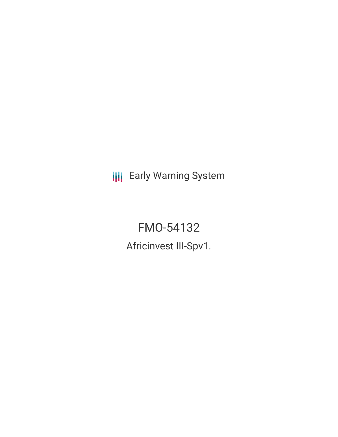**III** Early Warning System

FMO-54132 Africinvest III-Spv1.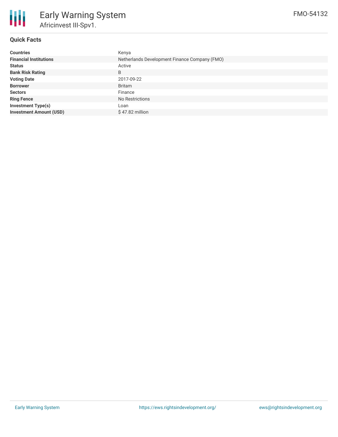

### **Quick Facts**

| <b>Countries</b>               | Kenya                                         |
|--------------------------------|-----------------------------------------------|
| <b>Financial Institutions</b>  | Netherlands Development Finance Company (FMO) |
| <b>Status</b>                  | Active                                        |
| <b>Bank Risk Rating</b>        | B                                             |
| <b>Voting Date</b>             | 2017-09-22                                    |
| <b>Borrower</b>                | <b>Britam</b>                                 |
| <b>Sectors</b>                 | Finance                                       |
| <b>Ring Fence</b>              | No Restrictions                               |
| <b>Investment Type(s)</b>      | Loan                                          |
| <b>Investment Amount (USD)</b> | \$47.82 million                               |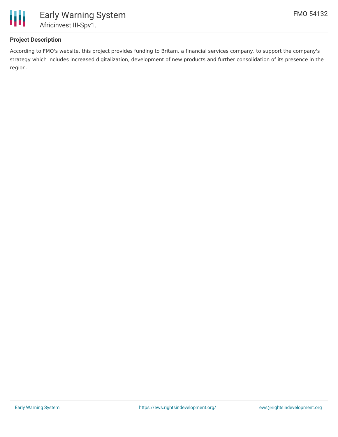

## **Project Description**

According to FMO's website, this project provides funding to Britam, a financial services company, to support the company's strategy which includes increased digitalization, development of new products and further consolidation of its presence in the region.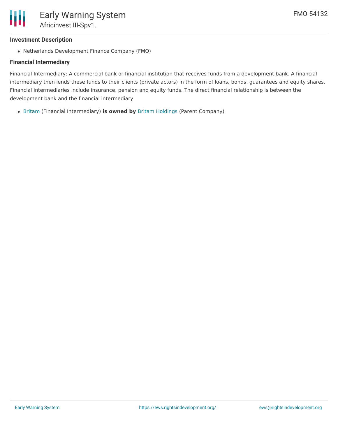#### **Investment Description**

Netherlands Development Finance Company (FMO)

#### **Financial Intermediary**

Financial Intermediary: A commercial bank or financial institution that receives funds from a development bank. A financial intermediary then lends these funds to their clients (private actors) in the form of loans, bonds, guarantees and equity shares. Financial intermediaries include insurance, pension and equity funds. The direct financial relationship is between the development bank and the financial intermediary.

[Britam](file:///actor/3458/) (Financial Intermediary) **is owned by** Britam [Holdings](file:///actor/3522/) (Parent Company)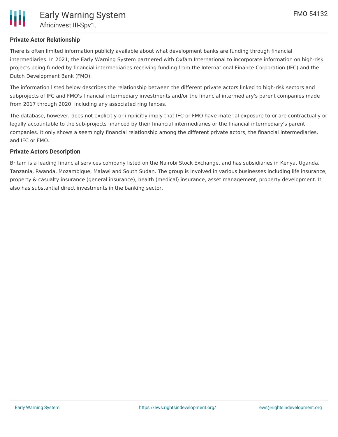There is often limited information publicly available about what development banks are funding through financial intermediaries. In 2021, the Early Warning System partnered with Oxfam International to incorporate information on high-risk projects being funded by financial intermediaries receiving funding from the International Finance Corporation (IFC) and the Dutch Development Bank (FMO).

The information listed below describes the relationship between the different private actors linked to high-risk sectors and subprojects of IFC and FMO's financial intermediary investments and/or the financial intermediary's parent companies made from 2017 through 2020, including any associated ring fences.

The database, however, does not explicitly or implicitly imply that IFC or FMO have material exposure to or are contractually or legally accountable to the sub-projects financed by their financial intermediaries or the financial intermediary's parent companies. It only shows a seemingly financial relationship among the different private actors, the financial intermediaries, and IFC or FMO.

### **Private Actors Description**

Britam is a leading financial services company listed on the Nairobi Stock Exchange, and has subsidiaries in Kenya, Uganda, Tanzania, Rwanda, Mozambique, Malawi and South Sudan. The group is involved in various businesses including life insurance, property & casualty insurance (general insurance), health (medical) insurance, asset management, property development. It also has substantial direct investments in the banking sector.